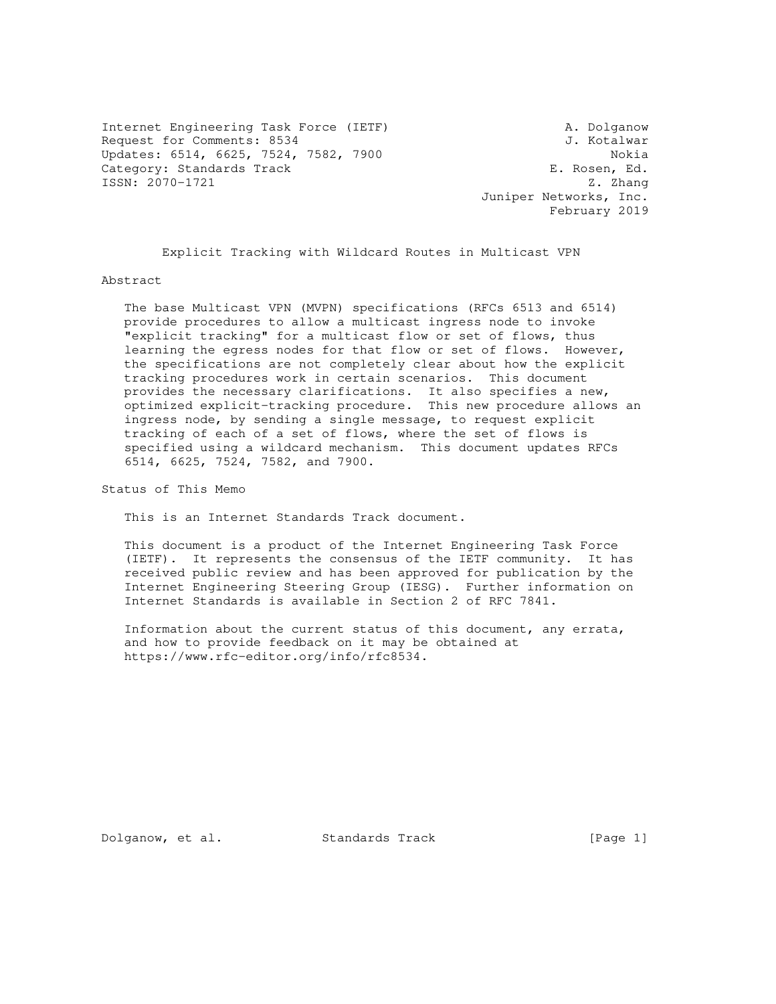Internet Engineering Task Force (IETF) A. Dolganow Request for Comments: 8534 J. Kotalwar Updates: 6514, 6625, 7524, 7582, 7900<br>Category: Standards Track Gategory: Standards Track Category: Standards Track E. Rosen, Ed. 5581: 2070-1721 2. ISSN: 2070-1721

 Juniper Networks, Inc. February 2019

Explicit Tracking with Wildcard Routes in Multicast VPN

Abstract

 The base Multicast VPN (MVPN) specifications (RFCs 6513 and 6514) provide procedures to allow a multicast ingress node to invoke "explicit tracking" for a multicast flow or set of flows, thus learning the egress nodes for that flow or set of flows. However, the specifications are not completely clear about how the explicit tracking procedures work in certain scenarios. This document provides the necessary clarifications. It also specifies a new, optimized explicit-tracking procedure. This new procedure allows an ingress node, by sending a single message, to request explicit tracking of each of a set of flows, where the set of flows is specified using a wildcard mechanism. This document updates RFCs 6514, 6625, 7524, 7582, and 7900.

Status of This Memo

This is an Internet Standards Track document.

 This document is a product of the Internet Engineering Task Force (IETF). It represents the consensus of the IETF community. It has received public review and has been approved for publication by the Internet Engineering Steering Group (IESG). Further information on Internet Standards is available in Section 2 of RFC 7841.

 Information about the current status of this document, any errata, and how to provide feedback on it may be obtained at https://www.rfc-editor.org/info/rfc8534.

Dolganow, et al. Standards Track [Page 1]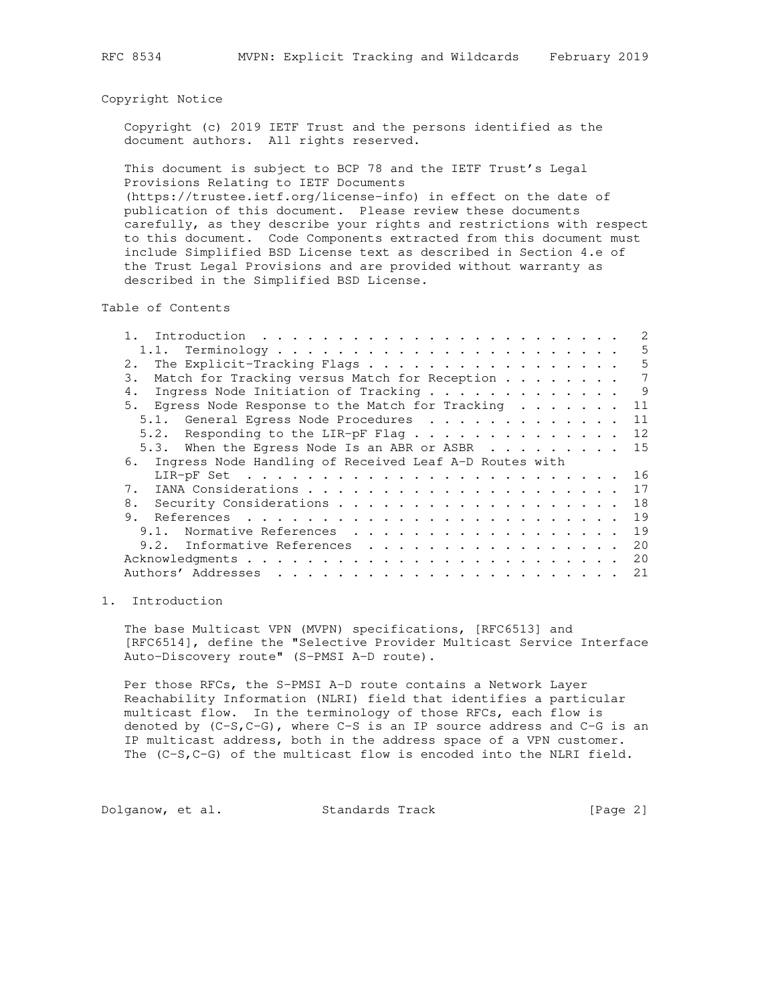#### Copyright Notice

 Copyright (c) 2019 IETF Trust and the persons identified as the document authors. All rights reserved.

 This document is subject to BCP 78 and the IETF Trust's Legal Provisions Relating to IETF Documents

 (https://trustee.ietf.org/license-info) in effect on the date of publication of this document. Please review these documents carefully, as they describe your rights and restrictions with respect to this document. Code Components extracted from this document must include Simplified BSD License text as described in Section 4.e of the Trust Legal Provisions and are provided without warranty as described in the Simplified BSD License.

Table of Contents

|                                                           | 5  |
|-----------------------------------------------------------|----|
| The Explicit-Tracking Flags<br>2.                         | 5  |
| Match for Tracking versus Match for Reception<br>3.       | 7  |
| Ingress Node Initiation of Tracking<br>4.                 | 9  |
| 5. Eqress Node Response to the Match for Tracking         | 11 |
| 5.1. General Egress Node Procedures                       | 11 |
| 5.2. Responding to the LIR-pF Flag                        | 12 |
| 5.3. When the Egress Node Is an ABR or ASBR               | 15 |
| 6. Ingress Node Handling of Received Leaf A-D Routes with |    |
|                                                           |    |
|                                                           | 16 |
|                                                           | 17 |
| 8.                                                        | 18 |
| 9.                                                        | 19 |
| Normative References<br>9.1.                              | 19 |
| 9.2. Informative References                               | 20 |
|                                                           | 20 |
| Authors' Addresses                                        | 21 |

# 1. Introduction

 The base Multicast VPN (MVPN) specifications, [RFC6513] and [RFC6514], define the "Selective Provider Multicast Service Interface Auto-Discovery route" (S-PMSI A-D route).

 Per those RFCs, the S-PMSI A-D route contains a Network Layer Reachability Information (NLRI) field that identifies a particular multicast flow. In the terminology of those RFCs, each flow is denoted by (C-S,C-G), where C-S is an IP source address and C-G is an IP multicast address, both in the address space of a VPN customer. The (C-S,C-G) of the multicast flow is encoded into the NLRI field.

Dolganow, et al. Standards Track [Page 2]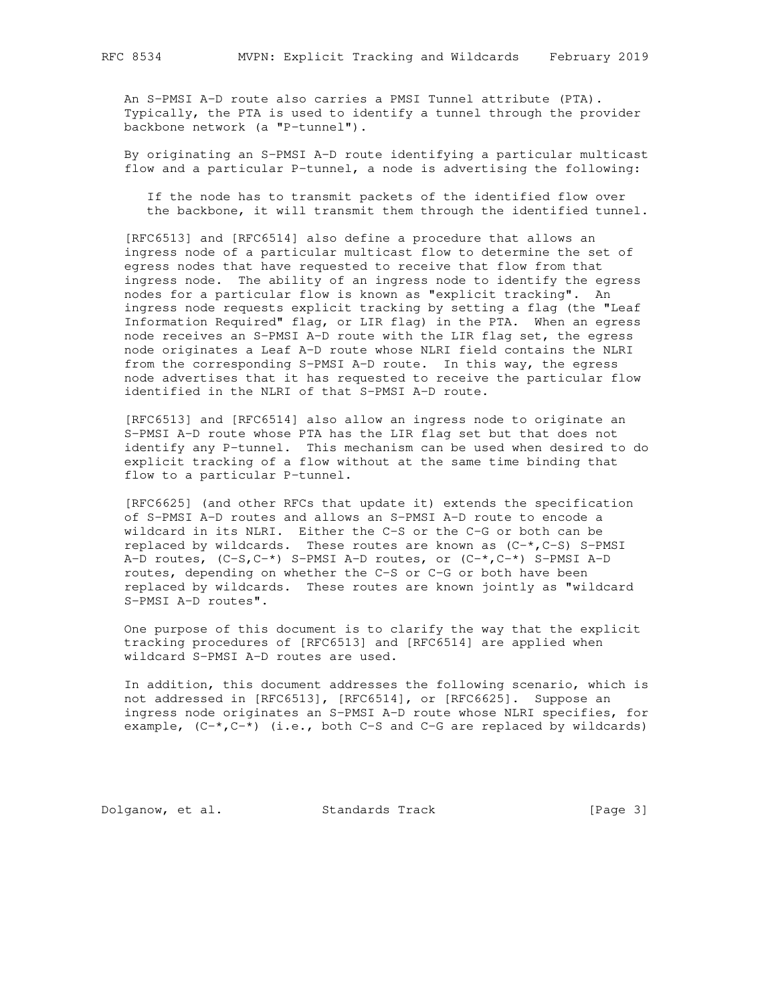An S-PMSI A-D route also carries a PMSI Tunnel attribute (PTA). Typically, the PTA is used to identify a tunnel through the provider backbone network (a "P-tunnel").

 By originating an S-PMSI A-D route identifying a particular multicast flow and a particular P-tunnel, a node is advertising the following:

 If the node has to transmit packets of the identified flow over the backbone, it will transmit them through the identified tunnel.

 [RFC6513] and [RFC6514] also define a procedure that allows an ingress node of a particular multicast flow to determine the set of egress nodes that have requested to receive that flow from that ingress node. The ability of an ingress node to identify the egress nodes for a particular flow is known as "explicit tracking". An ingress node requests explicit tracking by setting a flag (the "Leaf Information Required" flag, or LIR flag) in the PTA. When an egress node receives an S-PMSI A-D route with the LIR flag set, the egress node originates a Leaf A-D route whose NLRI field contains the NLRI from the corresponding S-PMSI A-D route. In this way, the egress node advertises that it has requested to receive the particular flow identified in the NLRI of that S-PMSI A-D route.

 [RFC6513] and [RFC6514] also allow an ingress node to originate an S-PMSI A-D route whose PTA has the LIR flag set but that does not identify any P-tunnel. This mechanism can be used when desired to do explicit tracking of a flow without at the same time binding that flow to a particular P-tunnel.

 [RFC6625] (and other RFCs that update it) extends the specification of S-PMSI A-D routes and allows an S-PMSI A-D route to encode a wildcard in its NLRI. Either the C-S or the C-G or both can be replaced by wildcards. These routes are known as  $(C-*$ ,  $C-S$ ) S-PMSI A-D routes,  $(C-S, C-*)$  S-PMSI A-D routes, or  $(C-*, C-*)$  S-PMSI A-D routes, depending on whether the C-S or C-G or both have been replaced by wildcards. These routes are known jointly as "wildcard S-PMSI A-D routes".

 One purpose of this document is to clarify the way that the explicit tracking procedures of [RFC6513] and [RFC6514] are applied when wildcard S-PMSI A-D routes are used.

 In addition, this document addresses the following scenario, which is not addressed in [RFC6513], [RFC6514], or [RFC6625]. Suppose an ingress node originates an S-PMSI A-D route whose NLRI specifies, for example,  $(C-*$ ,  $C-*$ ) (i.e., both  $C-S$  and  $C-G$  are replaced by wildcards)

Dolganow, et al. Standards Track [Page 3]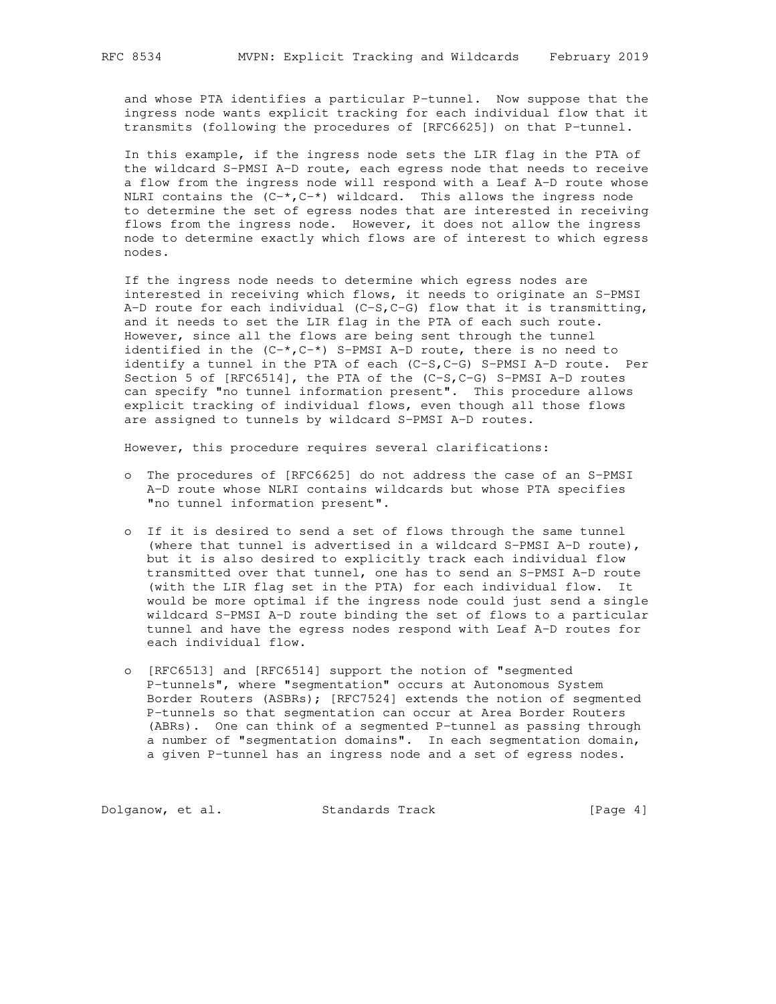and whose PTA identifies a particular P-tunnel. Now suppose that the ingress node wants explicit tracking for each individual flow that it transmits (following the procedures of [RFC6625]) on that P-tunnel.

 In this example, if the ingress node sets the LIR flag in the PTA of the wildcard S-PMSI A-D route, each egress node that needs to receive a flow from the ingress node will respond with a Leaf A-D route whose NLRI contains the  $(C^{-*}, C^{-*})$  wildcard. This allows the ingress node to determine the set of egress nodes that are interested in receiving flows from the ingress node. However, it does not allow the ingress node to determine exactly which flows are of interest to which egress nodes.

 If the ingress node needs to determine which egress nodes are interested in receiving which flows, it needs to originate an S-PMSI  $A-D$  route for each individual (C-S, C-G) flow that it is transmitting, and it needs to set the LIR flag in the PTA of each such route. However, since all the flows are being sent through the tunnel identified in the  $(C^{-*}, C^{-*})$  S-PMSI A-D route, there is no need to identify a tunnel in the PTA of each (C-S,C-G) S-PMSI A-D route. Per Section 5 of [RFC6514], the PTA of the (C-S,C-G) S-PMSI A-D routes can specify "no tunnel information present". This procedure allows explicit tracking of individual flows, even though all those flows are assigned to tunnels by wildcard S-PMSI A-D routes.

However, this procedure requires several clarifications:

- o The procedures of [RFC6625] do not address the case of an S-PMSI A-D route whose NLRI contains wildcards but whose PTA specifies "no tunnel information present".
- o If it is desired to send a set of flows through the same tunnel (where that tunnel is advertised in a wildcard S-PMSI A-D route), but it is also desired to explicitly track each individual flow transmitted over that tunnel, one has to send an S-PMSI A-D route (with the LIR flag set in the PTA) for each individual flow. It would be more optimal if the ingress node could just send a single wildcard S-PMSI A-D route binding the set of flows to a particular tunnel and have the egress nodes respond with Leaf A-D routes for each individual flow.
- o [RFC6513] and [RFC6514] support the notion of "segmented P-tunnels", where "segmentation" occurs at Autonomous System Border Routers (ASBRs); [RFC7524] extends the notion of segmented P-tunnels so that segmentation can occur at Area Border Routers (ABRs). One can think of a segmented P-tunnel as passing through a number of "segmentation domains". In each segmentation domain, a given P-tunnel has an ingress node and a set of egress nodes.

Dolganow, et al. Standards Track [Page 4]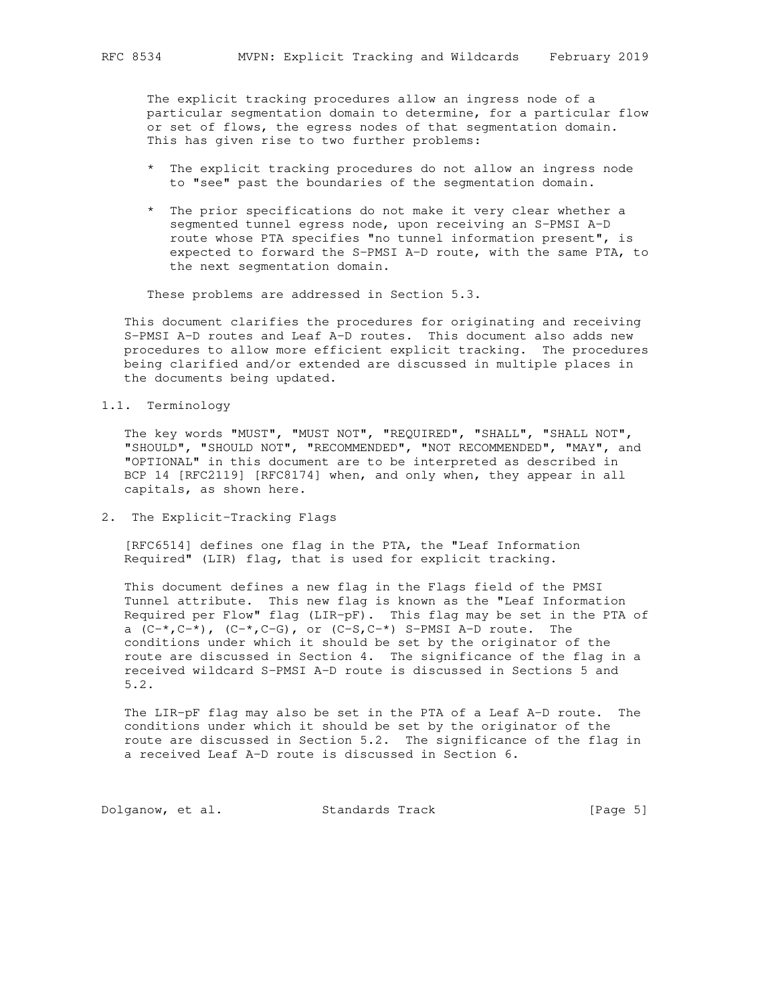The explicit tracking procedures allow an ingress node of a particular segmentation domain to determine, for a particular flow or set of flows, the egress nodes of that segmentation domain. This has given rise to two further problems:

- \* The explicit tracking procedures do not allow an ingress node to "see" past the boundaries of the segmentation domain.
- \* The prior specifications do not make it very clear whether a segmented tunnel egress node, upon receiving an S-PMSI A-D route whose PTA specifies "no tunnel information present", is expected to forward the S-PMSI A-D route, with the same PTA, to the next segmentation domain.

These problems are addressed in Section 5.3.

 This document clarifies the procedures for originating and receiving S-PMSI A-D routes and Leaf A-D routes. This document also adds new procedures to allow more efficient explicit tracking. The procedures being clarified and/or extended are discussed in multiple places in the documents being updated.

1.1. Terminology

 The key words "MUST", "MUST NOT", "REQUIRED", "SHALL", "SHALL NOT", "SHOULD", "SHOULD NOT", "RECOMMENDED", "NOT RECOMMENDED", "MAY", and "OPTIONAL" in this document are to be interpreted as described in BCP 14 [RFC2119] [RFC8174] when, and only when, they appear in all capitals, as shown here.

2. The Explicit-Tracking Flags

 [RFC6514] defines one flag in the PTA, the "Leaf Information Required" (LIR) flag, that is used for explicit tracking.

 This document defines a new flag in the Flags field of the PMSI Tunnel attribute. This new flag is known as the "Leaf Information Required per Flow" flag (LIR-pF). This flag may be set in the PTA of a  $(C^{-*}, C^{-*})$ ,  $(C^{-*}, C^{-}G)$ , or  $(C-S, C^{-*})$  S-PMSI A-D route. The conditions under which it should be set by the originator of the route are discussed in Section 4. The significance of the flag in a received wildcard S-PMSI A-D route is discussed in Sections 5 and 5.2.

 The LIR-pF flag may also be set in the PTA of a Leaf A-D route. The conditions under which it should be set by the originator of the route are discussed in Section 5.2. The significance of the flag in a received Leaf A-D route is discussed in Section 6.

Dolganow, et al. Standards Track [Page 5]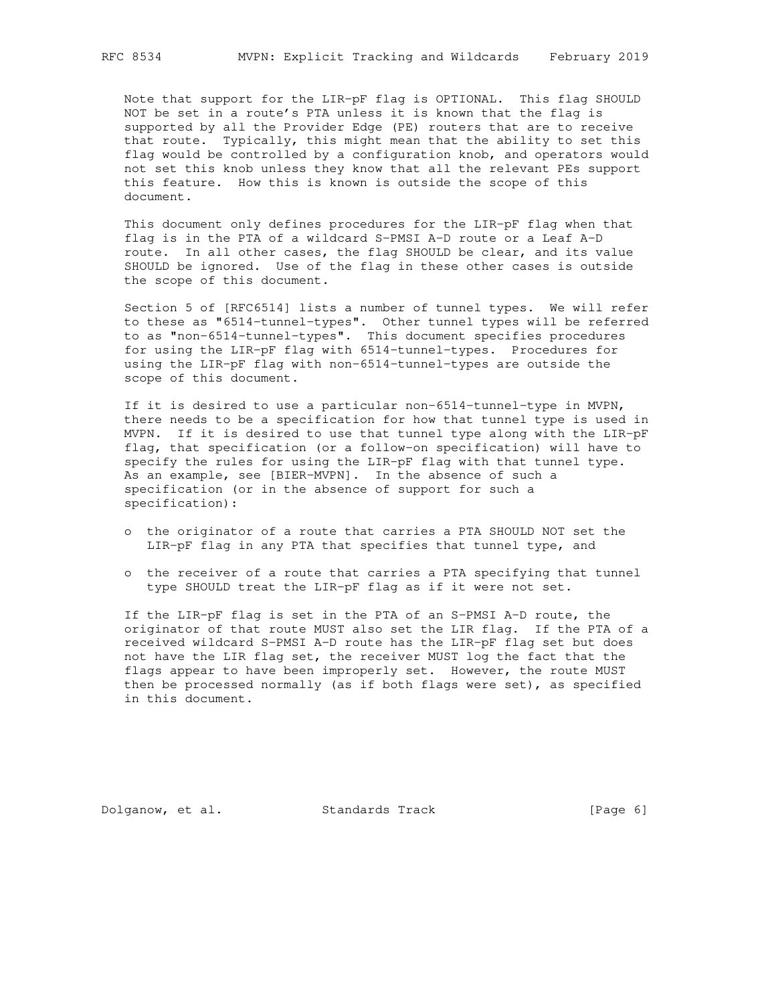Note that support for the LIR-pF flag is OPTIONAL. This flag SHOULD NOT be set in a route's PTA unless it is known that the flag is supported by all the Provider Edge (PE) routers that are to receive that route. Typically, this might mean that the ability to set this flag would be controlled by a configuration knob, and operators would not set this knob unless they know that all the relevant PEs support this feature. How this is known is outside the scope of this document.

 This document only defines procedures for the LIR-pF flag when that flag is in the PTA of a wildcard S-PMSI A-D route or a Leaf A-D route. In all other cases, the flag SHOULD be clear, and its value SHOULD be ignored. Use of the flag in these other cases is outside the scope of this document.

 Section 5 of [RFC6514] lists a number of tunnel types. We will refer to these as "6514-tunnel-types". Other tunnel types will be referred to as "non-6514-tunnel-types". This document specifies procedures for using the LIR-pF flag with 6514-tunnel-types. Procedures for using the LIR-pF flag with non-6514-tunnel-types are outside the scope of this document.

 If it is desired to use a particular non-6514-tunnel-type in MVPN, there needs to be a specification for how that tunnel type is used in MVPN. If it is desired to use that tunnel type along with the LIR-pF flag, that specification (or a follow-on specification) will have to specify the rules for using the LIR-pF flag with that tunnel type. As an example, see [BIER-MVPN]. In the absence of such a specification (or in the absence of support for such a specification):

- o the originator of a route that carries a PTA SHOULD NOT set the LIR-pF flag in any PTA that specifies that tunnel type, and
- o the receiver of a route that carries a PTA specifying that tunnel type SHOULD treat the LIR-pF flag as if it were not set.

 If the LIR-pF flag is set in the PTA of an S-PMSI A-D route, the originator of that route MUST also set the LIR flag. If the PTA of a received wildcard S-PMSI A-D route has the LIR-pF flag set but does not have the LIR flag set, the receiver MUST log the fact that the flags appear to have been improperly set. However, the route MUST then be processed normally (as if both flags were set), as specified in this document.

Dolganow, et al. Standards Track [Page 6]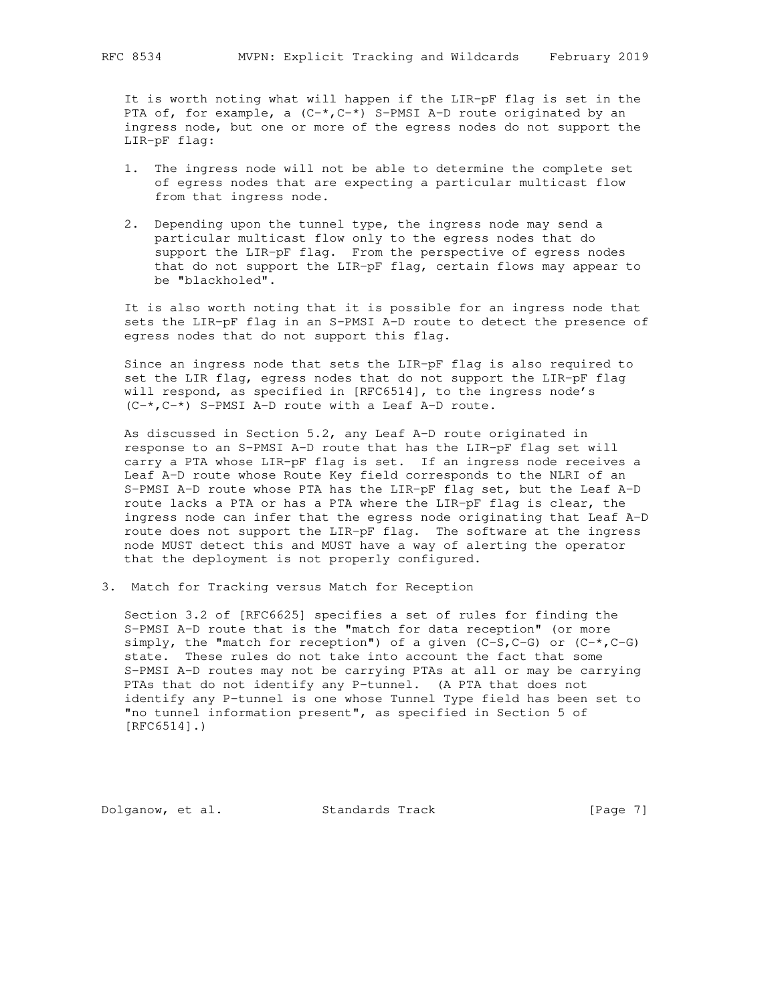It is worth noting what will happen if the LIR-pF flag is set in the PTA of, for example, a  $(C^{-*}, C^{-*})$  S-PMSI A-D route originated by an ingress node, but one or more of the egress nodes do not support the LIR-pF flag:

- 1. The ingress node will not be able to determine the complete set of egress nodes that are expecting a particular multicast flow from that ingress node.
- 2. Depending upon the tunnel type, the ingress node may send a particular multicast flow only to the egress nodes that do support the LIR-pF flag. From the perspective of egress nodes that do not support the LIR-pF flag, certain flows may appear to be "blackholed".

 It is also worth noting that it is possible for an ingress node that sets the LIR-pF flag in an S-PMSI A-D route to detect the presence of egress nodes that do not support this flag.

 Since an ingress node that sets the LIR-pF flag is also required to set the LIR flag, egress nodes that do not support the LIR-pF flag will respond, as specified in [RFC6514], to the ingress node's  $(C-*$ ,  $C-*$ ) S-PMSI A-D route with a Leaf A-D route.

 As discussed in Section 5.2, any Leaf A-D route originated in response to an S-PMSI A-D route that has the LIR-pF flag set will carry a PTA whose LIR-pF flag is set. If an ingress node receives a Leaf A-D route whose Route Key field corresponds to the NLRI of an S-PMSI A-D route whose PTA has the LIR-pF flag set, but the Leaf A-D route lacks a PTA or has a PTA where the LIR-pF flag is clear, the ingress node can infer that the egress node originating that Leaf A-D route does not support the LIR-pF flag. The software at the ingress node MUST detect this and MUST have a way of alerting the operator that the deployment is not properly configured.

3. Match for Tracking versus Match for Reception

 Section 3.2 of [RFC6625] specifies a set of rules for finding the S-PMSI A-D route that is the "match for data reception" (or more simply, the "match for reception") of a given  $(C-S, C-G)$  or  $(C-*, C-G)$  state. These rules do not take into account the fact that some S-PMSI A-D routes may not be carrying PTAs at all or may be carrying PTAs that do not identify any P-tunnel. (A PTA that does not identify any P-tunnel is one whose Tunnel Type field has been set to "no tunnel information present", as specified in Section 5 of [RFC6514].)

Dolganow, et al. Standards Track [Page 7]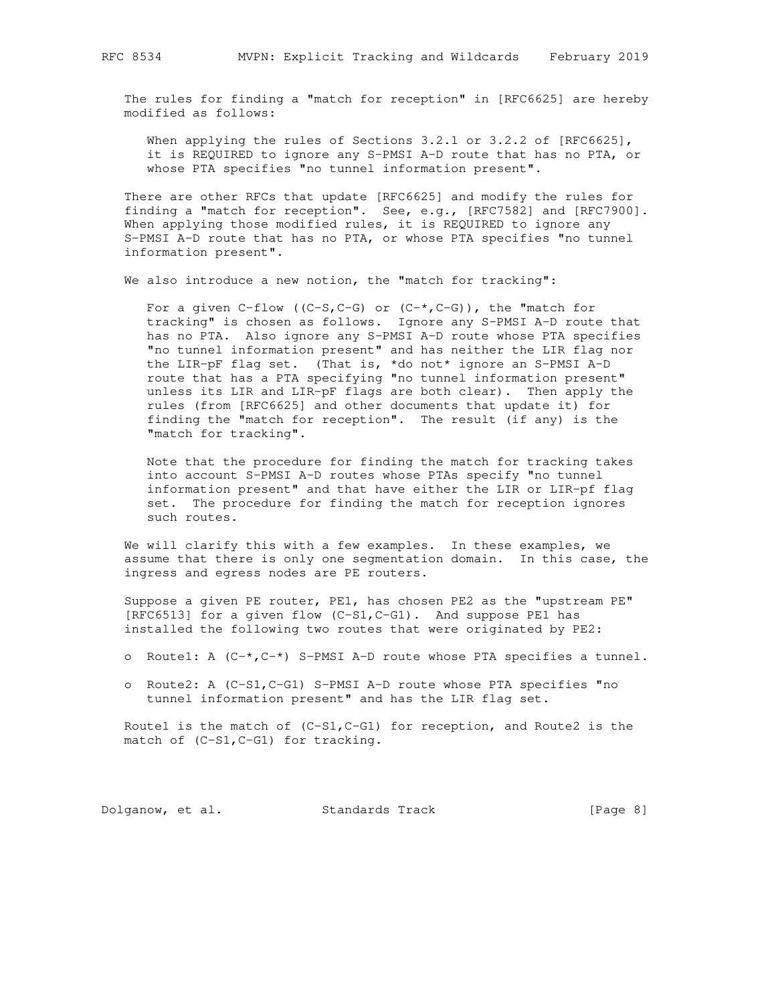The rules for finding a "match for reception" in [RFC6625] are hereby modified as follows:

When applying the rules of Sections 3.2.1 or 3.2.2 of [RFC6625], it is REQUIRED to ignore any S-PMSI A-D route that has no PTA, or whose PTA specifies "no tunnel information present".

 There are other RFCs that update [RFC6625] and modify the rules for finding a "match for reception". See, e.g., [RFC7582] and [RFC7900]. When applying those modified rules, it is REQUIRED to ignore any S-PMSI A-D route that has no PTA, or whose PTA specifies "no tunnel information present".

We also introduce a new notion, the "match for tracking":

For a given  $C$ -flow ((C-S, C-G) or (C-\*, C-G)), the "match for tracking" is chosen as follows. Ignore any S-PMSI A-D route that has no PTA. Also ignore any S-PMSI A-D route whose PTA specifies "no tunnel information present" and has neither the LIR flag nor the LIR-pF flag set. (That is, \*do not\* ignore an S-PMSI A-D route that has a PTA specifying "no tunnel information present" unless its LIR and LIR-pF flags are both clear). Then apply the rules (from [RFC6625] and other documents that update it) for finding the "match for reception". The result (if any) is the "match for tracking".

 Note that the procedure for finding the match for tracking takes into account S-PMSI A-D routes whose PTAs specify "no tunnel information present" and that have either the LIR or LIR-pf flag set. The procedure for finding the match for reception ignores such routes.

 We will clarify this with a few examples. In these examples, we assume that there is only one segmentation domain. In this case, the ingress and egress nodes are PE routers.

 Suppose a given PE router, PE1, has chosen PE2 as the "upstream PE" [RFC6513] for a given flow (C-S1,C-G1). And suppose PE1 has installed the following two routes that were originated by PE2:

- o Route1: A (C-\*,C-\*) S-PMSI A-D route whose PTA specifies a tunnel.
- o Route2: A (C-S1,C-G1) S-PMSI A-D route whose PTA specifies "no tunnel information present" and has the LIR flag set.

Route1 is the match of (C-S1, C-G1) for reception, and Route2 is the match of (C-S1, C-G1) for tracking.

Dolganow, et al. Standards Track [Page 8]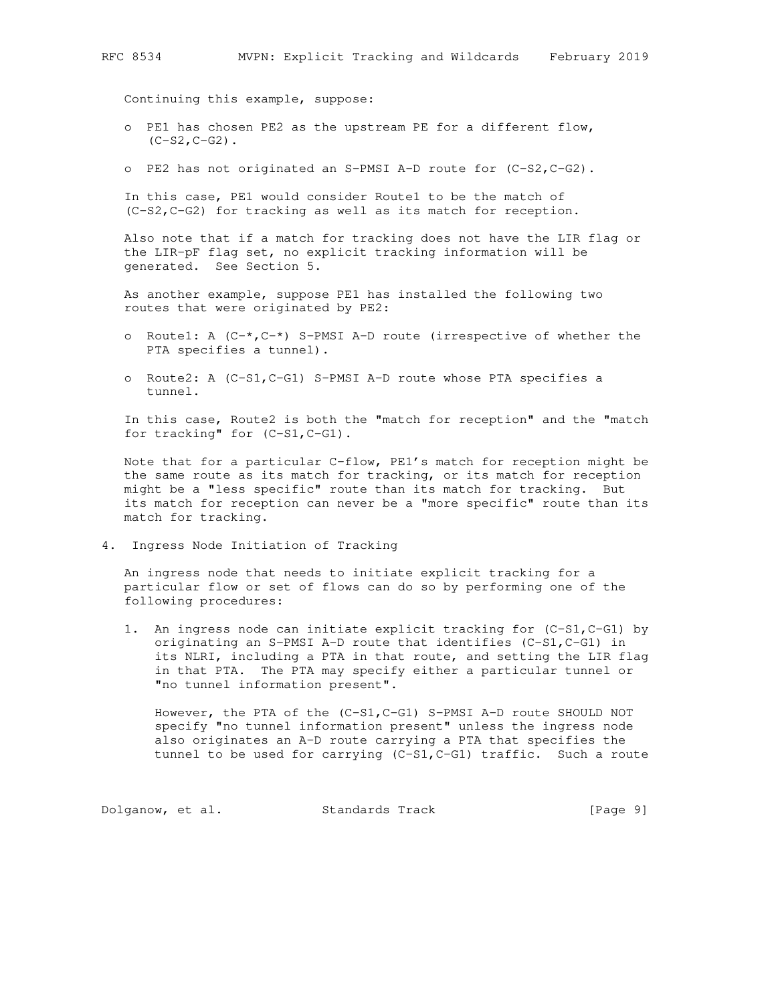Continuing this example, suppose:

- o PE1 has chosen PE2 as the upstream PE for a different flow,  $(C-S2, C-G2)$ .
- o PE2 has not originated an S-PMSI A-D route for (C-S2,C-G2).

 In this case, PE1 would consider Route1 to be the match of (C-S2,C-G2) for tracking as well as its match for reception.

 Also note that if a match for tracking does not have the LIR flag or the LIR-pF flag set, no explicit tracking information will be generated. See Section 5.

 As another example, suppose PE1 has installed the following two routes that were originated by PE2:

- o Routel: A  $(C-*$ ,  $C-*$ ) S-PMSI A-D route (irrespective of whether the PTA specifies a tunnel).
- o Route2: A (C-S1,C-G1) S-PMSI A-D route whose PTA specifies a tunnel.

 In this case, Route2 is both the "match for reception" and the "match for tracking" for (C-S1,C-G1).

 Note that for a particular C-flow, PE1's match for reception might be the same route as its match for tracking, or its match for reception might be a "less specific" route than its match for tracking. But its match for reception can never be a "more specific" route than its match for tracking.

4. Ingress Node Initiation of Tracking

 An ingress node that needs to initiate explicit tracking for a particular flow or set of flows can do so by performing one of the following procedures:

 1. An ingress node can initiate explicit tracking for (C-S1,C-G1) by originating an S-PMSI A-D route that identifies (C-S1,C-G1) in its NLRI, including a PTA in that route, and setting the LIR flag in that PTA. The PTA may specify either a particular tunnel or "no tunnel information present".

However, the PTA of the (C-S1, C-G1) S-PMSI A-D route SHOULD NOT specify "no tunnel information present" unless the ingress node also originates an A-D route carrying a PTA that specifies the tunnel to be used for carrying (C-S1,C-G1) traffic. Such a route

Dolganow, et al. Standards Track [Page 9]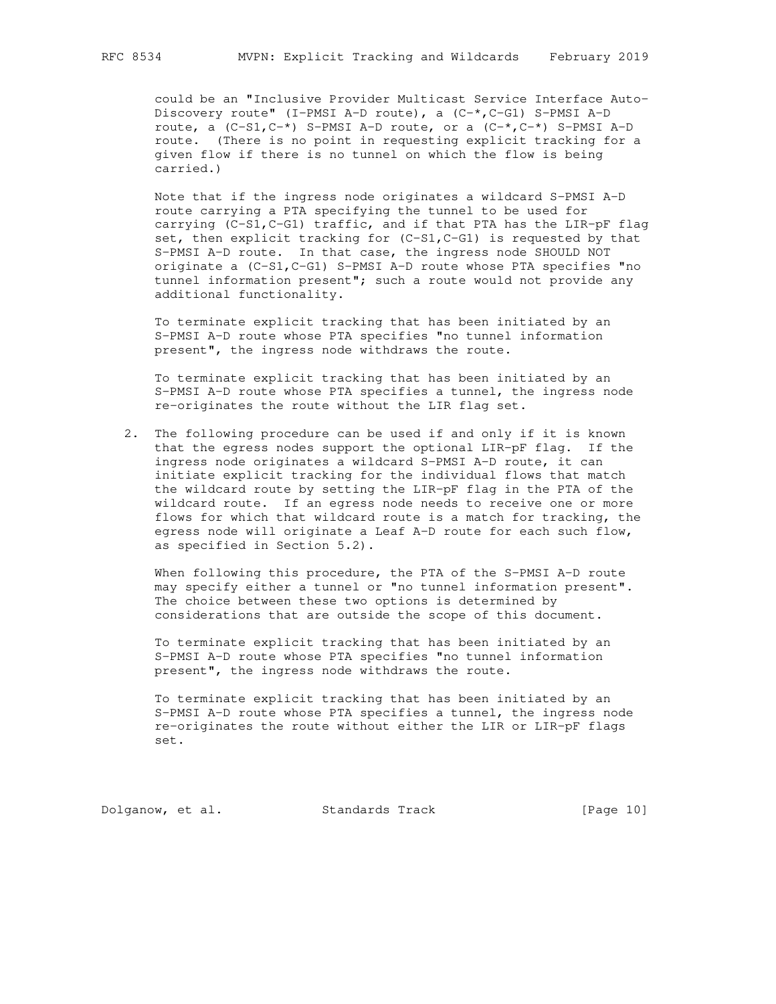could be an "Inclusive Provider Multicast Service Interface Auto- Discovery route" (I-PMSI A-D route), a (C-\*,C-G1) S-PMSI A-D route, a  $(C-S1, C^{-*})$  S-PMSI A-D route, or a  $(C^{-*}, C^{-*})$  S-PMSI A-D route. (There is no point in requesting explicit tracking for a given flow if there is no tunnel on which the flow is being carried.)

 Note that if the ingress node originates a wildcard S-PMSI A-D route carrying a PTA specifying the tunnel to be used for carrying (C-S1,C-G1) traffic, and if that PTA has the LIR-pF flag set, then explicit tracking for (C-S1,C-G1) is requested by that S-PMSI A-D route. In that case, the ingress node SHOULD NOT originate a (C-S1,C-G1) S-PMSI A-D route whose PTA specifies "no tunnel information present"; such a route would not provide any additional functionality.

 To terminate explicit tracking that has been initiated by an S-PMSI A-D route whose PTA specifies "no tunnel information present", the ingress node withdraws the route.

 To terminate explicit tracking that has been initiated by an S-PMSI A-D route whose PTA specifies a tunnel, the ingress node re-originates the route without the LIR flag set.

 2. The following procedure can be used if and only if it is known that the egress nodes support the optional LIR-pF flag. If the ingress node originates a wildcard S-PMSI A-D route, it can initiate explicit tracking for the individual flows that match the wildcard route by setting the LIR-pF flag in the PTA of the wildcard route. If an egress node needs to receive one or more flows for which that wildcard route is a match for tracking, the egress node will originate a Leaf A-D route for each such flow, as specified in Section 5.2).

When following this procedure, the PTA of the S-PMSI A-D route may specify either a tunnel or "no tunnel information present". The choice between these two options is determined by considerations that are outside the scope of this document.

 To terminate explicit tracking that has been initiated by an S-PMSI A-D route whose PTA specifies "no tunnel information present", the ingress node withdraws the route.

 To terminate explicit tracking that has been initiated by an S-PMSI A-D route whose PTA specifies a tunnel, the ingress node re-originates the route without either the LIR or LIR-pF flags set.

Dolganow, et al. Standards Track [Page 10]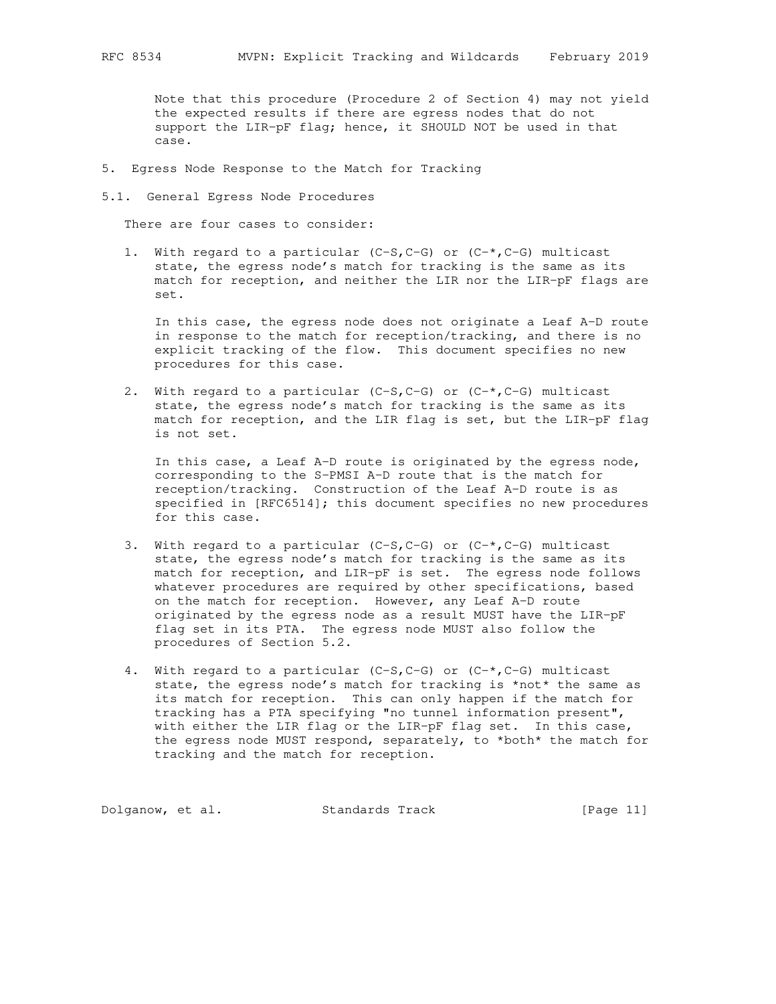Note that this procedure (Procedure 2 of Section 4) may not yield the expected results if there are egress nodes that do not support the LIR-pF flag; hence, it SHOULD NOT be used in that case.

- 5. Egress Node Response to the Match for Tracking
- 5.1. General Egress Node Procedures

There are four cases to consider:

1. With regard to a particular (C-S,C-G) or (C-\*,C-G) multicast state, the egress node's match for tracking is the same as its match for reception, and neither the LIR nor the LIR-pF flags are set.

 In this case, the egress node does not originate a Leaf A-D route in response to the match for reception/tracking, and there is no explicit tracking of the flow. This document specifies no new procedures for this case.

2. With regard to a particular (C-S,C-G) or (C-\*,C-G) multicast state, the egress node's match for tracking is the same as its match for reception, and the LIR flag is set, but the LIR-pF flag is not set.

 In this case, a Leaf A-D route is originated by the egress node, corresponding to the S-PMSI A-D route that is the match for reception/tracking. Construction of the Leaf A-D route is as specified in [RFC6514]; this document specifies no new procedures for this case.

- 3. With regard to a particular (C-S,C-G) or  $(C^{-*}, C^{-}G)$  multicast state, the egress node's match for tracking is the same as its match for reception, and LIR-pF is set. The egress node follows whatever procedures are required by other specifications, based on the match for reception. However, any Leaf A-D route originated by the egress node as a result MUST have the LIR-pF flag set in its PTA. The egress node MUST also follow the procedures of Section 5.2.
- 4. With regard to a particular  $(C-S, C-G)$  or  $(C-*, C-G)$  multicast state, the egress node's match for tracking is \*not\* the same as its match for reception. This can only happen if the match for tracking has a PTA specifying "no tunnel information present", with either the LIR flag or the LIR-pF flag set. In this case, the egress node MUST respond, separately, to \*both\* the match for tracking and the match for reception.

Dolganow, et al. Standards Track [Page 11]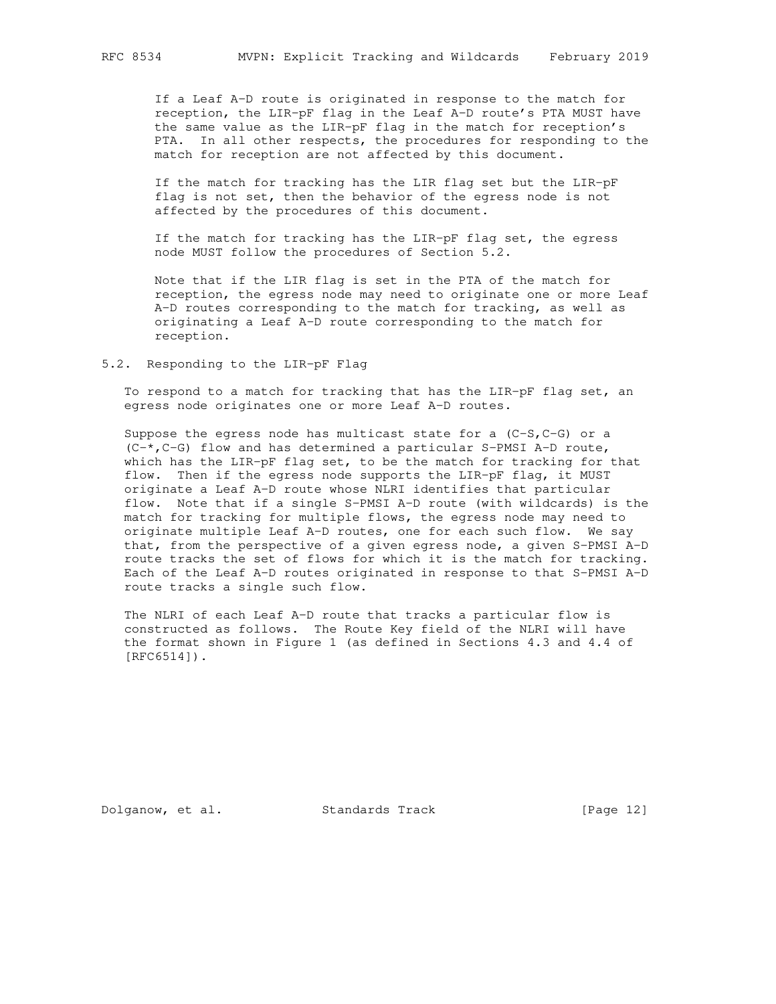If a Leaf A-D route is originated in response to the match for reception, the LIR-pF flag in the Leaf A-D route's PTA MUST have the same value as the LIR-pF flag in the match for reception's PTA. In all other respects, the procedures for responding to the match for reception are not affected by this document.

 If the match for tracking has the LIR flag set but the LIR-pF flag is not set, then the behavior of the egress node is not affected by the procedures of this document.

 If the match for tracking has the LIR-pF flag set, the egress node MUST follow the procedures of Section 5.2.

 Note that if the LIR flag is set in the PTA of the match for reception, the egress node may need to originate one or more Leaf A-D routes corresponding to the match for tracking, as well as originating a Leaf A-D route corresponding to the match for reception.

### 5.2. Responding to the LIR-pF Flag

 To respond to a match for tracking that has the LIR-pF flag set, an egress node originates one or more Leaf A-D routes.

Suppose the egress node has multicast state for a  $(C-S, C-G)$  or a  $(C-*$ ,  $C-G$ ) flow and has determined a particular S-PMSI A-D route, which has the LIR-pF flag set, to be the match for tracking for that flow. Then if the egress node supports the LIR-pF flag, it MUST originate a Leaf A-D route whose NLRI identifies that particular flow. Note that if a single S-PMSI A-D route (with wildcards) is the match for tracking for multiple flows, the egress node may need to originate multiple Leaf A-D routes, one for each such flow. We say that, from the perspective of a given egress node, a given S-PMSI A-D route tracks the set of flows for which it is the match for tracking. Each of the Leaf A-D routes originated in response to that S-PMSI A-D route tracks a single such flow.

 The NLRI of each Leaf A-D route that tracks a particular flow is constructed as follows. The Route Key field of the NLRI will have the format shown in Figure 1 (as defined in Sections 4.3 and 4.4 of [RFC6514]).

Dolganow, et al. Standards Track [Page 12]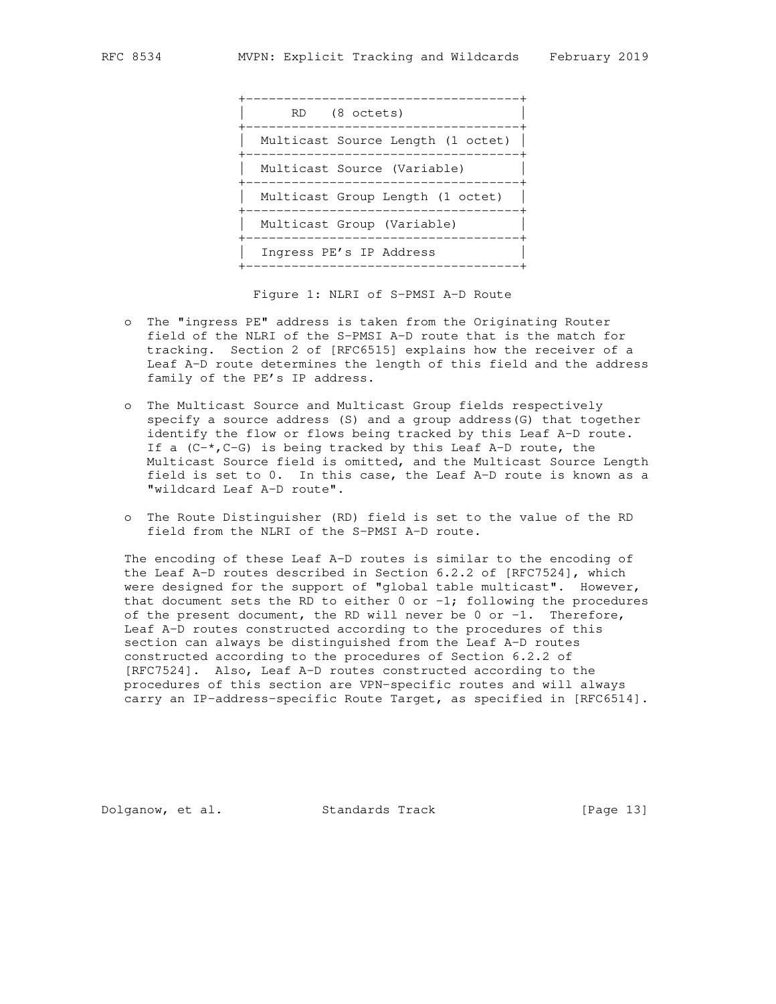

Figure 1: NLRI of S-PMSI A-D Route

- o The "ingress PE" address is taken from the Originating Router field of the NLRI of the S-PMSI A-D route that is the match for tracking. Section 2 of [RFC6515] explains how the receiver of a Leaf A-D route determines the length of this field and the address family of the PE's IP address.
- o The Multicast Source and Multicast Group fields respectively specify a source address (S) and a group address(G) that together identify the flow or flows being tracked by this Leaf A-D route. If a  $(C-*$ ,  $C-G$ ) is being tracked by this Leaf A-D route, the Multicast Source field is omitted, and the Multicast Source Length field is set to 0. In this case, the Leaf A-D route is known as a "wildcard Leaf A-D route".
- o The Route Distinguisher (RD) field is set to the value of the RD field from the NLRI of the S-PMSI A-D route.

 The encoding of these Leaf A-D routes is similar to the encoding of the Leaf A-D routes described in Section 6.2.2 of [RFC7524], which were designed for the support of "global table multicast". However, that document sets the RD to either  $0$  or  $-1$ ; following the procedures of the present document, the RD will never be  $0$  or  $-1$ . Therefore, Leaf A-D routes constructed according to the procedures of this section can always be distinguished from the Leaf A-D routes constructed according to the procedures of Section 6.2.2 of [RFC7524]. Also, Leaf A-D routes constructed according to the procedures of this section are VPN-specific routes and will always carry an IP-address-specific Route Target, as specified in [RFC6514].

Dolganow, et al. Standards Track [Page 13]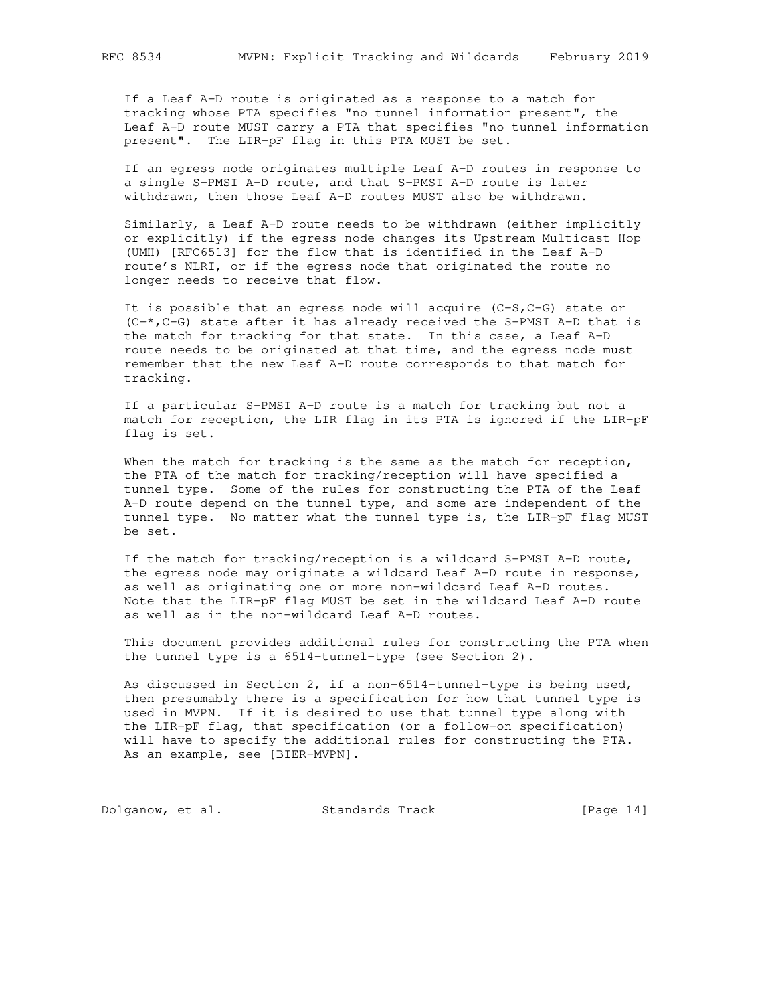If a Leaf A-D route is originated as a response to a match for tracking whose PTA specifies "no tunnel information present", the Leaf A-D route MUST carry a PTA that specifies "no tunnel information present". The LIR-pF flag in this PTA MUST be set.

 If an egress node originates multiple Leaf A-D routes in response to a single S-PMSI A-D route, and that S-PMSI A-D route is later withdrawn, then those Leaf A-D routes MUST also be withdrawn.

 Similarly, a Leaf A-D route needs to be withdrawn (either implicitly or explicitly) if the egress node changes its Upstream Multicast Hop (UMH) [RFC6513] for the flow that is identified in the Leaf A-D route's NLRI, or if the egress node that originated the route no longer needs to receive that flow.

It is possible that an egress node will acquire  $(C-S, C-G)$  state or  $(C-*$ ,  $C-G$ ) state after it has already received the S-PMSI A-D that is the match for tracking for that state. In this case, a Leaf A-D route needs to be originated at that time, and the egress node must remember that the new Leaf A-D route corresponds to that match for tracking.

 If a particular S-PMSI A-D route is a match for tracking but not a match for reception, the LIR flag in its PTA is ignored if the LIR-pF flag is set.

When the match for tracking is the same as the match for reception, the PTA of the match for tracking/reception will have specified a tunnel type. Some of the rules for constructing the PTA of the Leaf A-D route depend on the tunnel type, and some are independent of the tunnel type. No matter what the tunnel type is, the LIR-pF flag MUST be set.

 If the match for tracking/reception is a wildcard S-PMSI A-D route, the egress node may originate a wildcard Leaf A-D route in response, as well as originating one or more non-wildcard Leaf A-D routes. Note that the LIR-pF flag MUST be set in the wildcard Leaf A-D route as well as in the non-wildcard Leaf A-D routes.

 This document provides additional rules for constructing the PTA when the tunnel type is a 6514-tunnel-type (see Section 2).

 As discussed in Section 2, if a non-6514-tunnel-type is being used, then presumably there is a specification for how that tunnel type is used in MVPN. If it is desired to use that tunnel type along with the LIR-pF flag, that specification (or a follow-on specification) will have to specify the additional rules for constructing the PTA. As an example, see [BIER-MVPN].

Dolganow, et al. Standards Track [Page 14]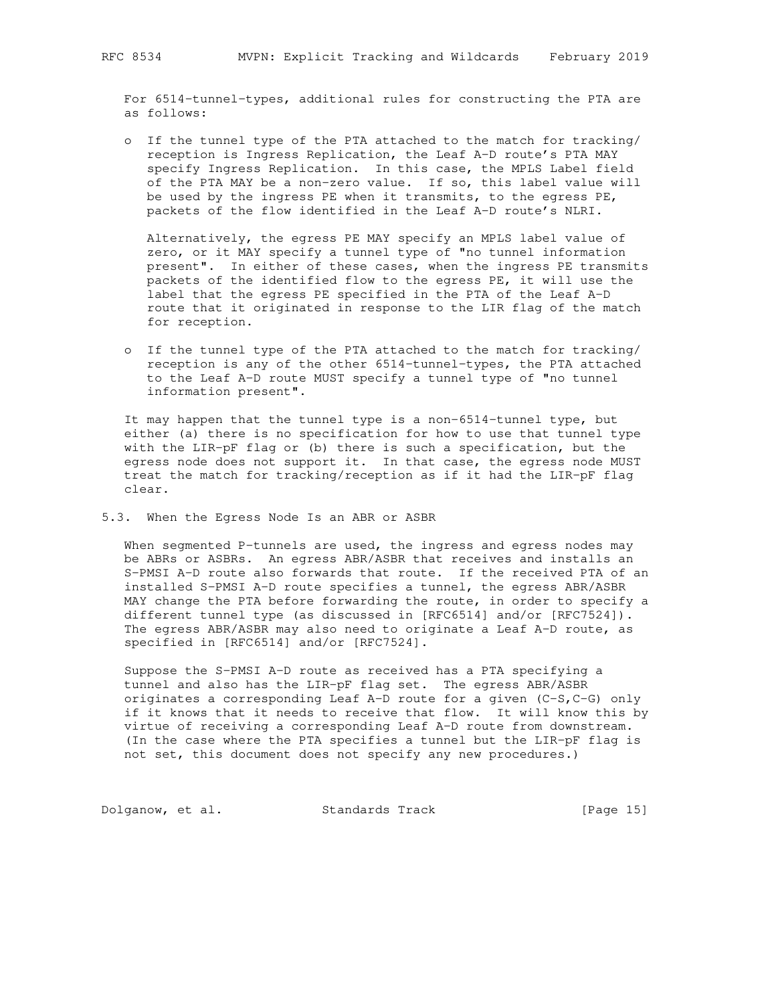For 6514-tunnel-types, additional rules for constructing the PTA are as follows:

 o If the tunnel type of the PTA attached to the match for tracking/ reception is Ingress Replication, the Leaf A-D route's PTA MAY specify Ingress Replication. In this case, the MPLS Label field of the PTA MAY be a non-zero value. If so, this label value will be used by the ingress PE when it transmits, to the egress PE, packets of the flow identified in the Leaf A-D route's NLRI.

 Alternatively, the egress PE MAY specify an MPLS label value of zero, or it MAY specify a tunnel type of "no tunnel information present". In either of these cases, when the ingress PE transmits packets of the identified flow to the egress PE, it will use the label that the egress PE specified in the PTA of the Leaf A-D route that it originated in response to the LIR flag of the match for reception.

 o If the tunnel type of the PTA attached to the match for tracking/ reception is any of the other 6514-tunnel-types, the PTA attached to the Leaf A-D route MUST specify a tunnel type of "no tunnel information present".

 It may happen that the tunnel type is a non-6514-tunnel type, but either (a) there is no specification for how to use that tunnel type with the LIR-pF flag or (b) there is such a specification, but the egress node does not support it. In that case, the egress node MUST treat the match for tracking/reception as if it had the LIR-pF flag clear.

5.3. When the Egress Node Is an ABR or ASBR

When segmented P-tunnels are used, the ingress and egress nodes may be ABRs or ASBRs. An egress ABR/ASBR that receives and installs an S-PMSI A-D route also forwards that route. If the received PTA of an installed S-PMSI A-D route specifies a tunnel, the egress ABR/ASBR MAY change the PTA before forwarding the route, in order to specify a different tunnel type (as discussed in [RFC6514] and/or [RFC7524]). The egress ABR/ASBR may also need to originate a Leaf A-D route, as specified in [RFC6514] and/or [RFC7524].

 Suppose the S-PMSI A-D route as received has a PTA specifying a tunnel and also has the LIR-pF flag set. The egress ABR/ASBR originates a corresponding Leaf A-D route for a given (C-S,C-G) only if it knows that it needs to receive that flow. It will know this by virtue of receiving a corresponding Leaf A-D route from downstream. (In the case where the PTA specifies a tunnel but the LIR-pF flag is not set, this document does not specify any new procedures.)

Dolganow, et al. Standards Track [Page 15]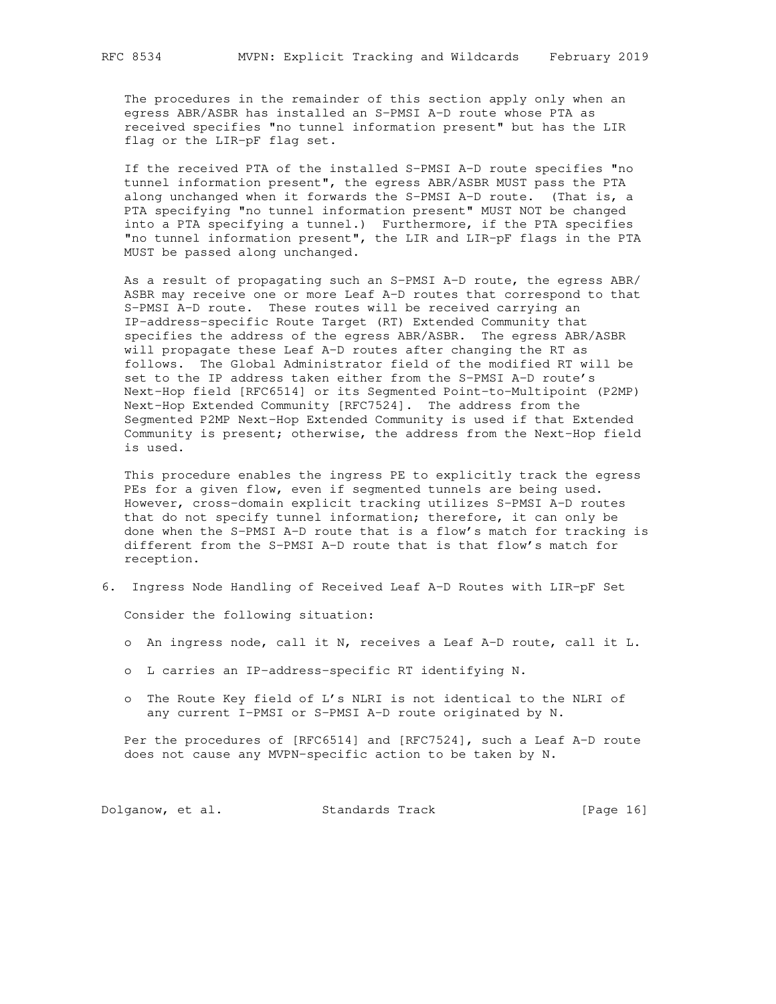The procedures in the remainder of this section apply only when an egress ABR/ASBR has installed an S-PMSI A-D route whose PTA as received specifies "no tunnel information present" but has the LIR flag or the LIR-pF flag set.

 If the received PTA of the installed S-PMSI A-D route specifies "no tunnel information present", the egress ABR/ASBR MUST pass the PTA along unchanged when it forwards the S-PMSI A-D route. (That is, a PTA specifying "no tunnel information present" MUST NOT be changed into a PTA specifying a tunnel.) Furthermore, if the PTA specifies "no tunnel information present", the LIR and LIR-pF flags in the PTA MUST be passed along unchanged.

 As a result of propagating such an S-PMSI A-D route, the egress ABR/ ASBR may receive one or more Leaf A-D routes that correspond to that S-PMSI A-D route. These routes will be received carrying an IP-address-specific Route Target (RT) Extended Community that specifies the address of the egress ABR/ASBR. The egress ABR/ASBR will propagate these Leaf A-D routes after changing the RT as follows. The Global Administrator field of the modified RT will be set to the IP address taken either from the S-PMSI A-D route's Next-Hop field [RFC6514] or its Segmented Point-to-Multipoint (P2MP) Next-Hop Extended Community [RFC7524]. The address from the Segmented P2MP Next-Hop Extended Community is used if that Extended Community is present; otherwise, the address from the Next-Hop field is used.

 This procedure enables the ingress PE to explicitly track the egress PEs for a given flow, even if segmented tunnels are being used. However, cross-domain explicit tracking utilizes S-PMSI A-D routes that do not specify tunnel information; therefore, it can only be done when the S-PMSI A-D route that is a flow's match for tracking is different from the S-PMSI A-D route that is that flow's match for reception.

6. Ingress Node Handling of Received Leaf A-D Routes with LIR-pF Set

Consider the following situation:

- o An ingress node, call it N, receives a Leaf A-D route, call it L.
- o L carries an IP-address-specific RT identifying N.
- o The Route Key field of L's NLRI is not identical to the NLRI of any current I-PMSI or S-PMSI A-D route originated by N.

 Per the procedures of [RFC6514] and [RFC7524], such a Leaf A-D route does not cause any MVPN-specific action to be taken by N.

Dolganow, et al. Standards Track [Page 16]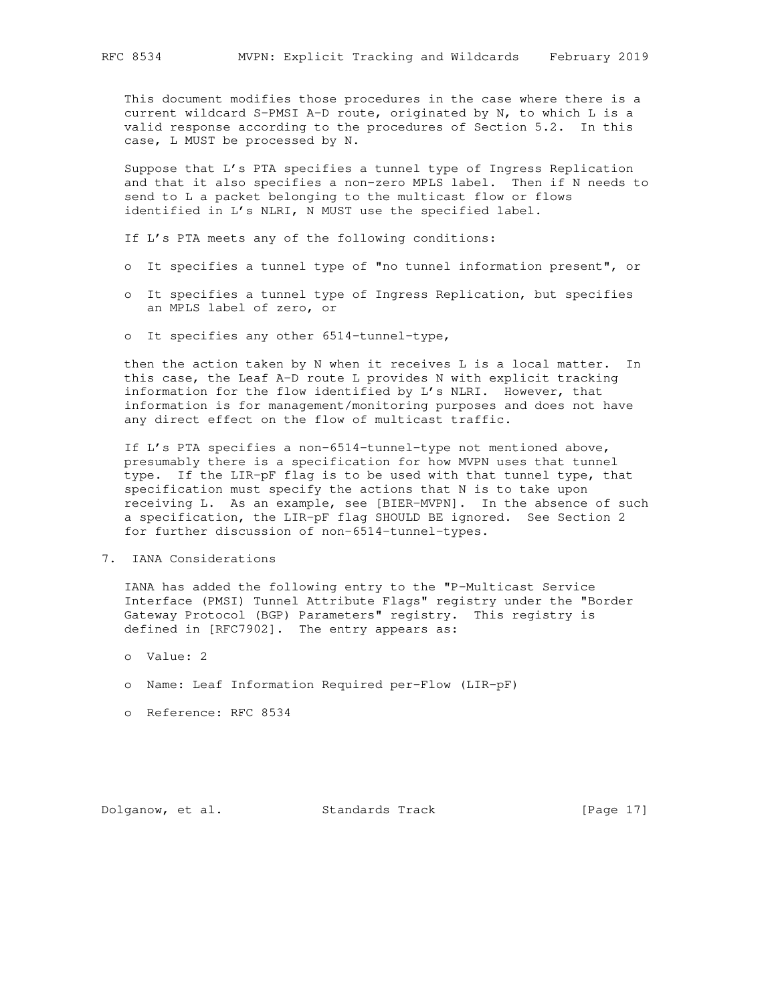This document modifies those procedures in the case where there is a current wildcard S-PMSI A-D route, originated by N, to which L is a valid response according to the procedures of Section 5.2. In this case, L MUST be processed by N.

 Suppose that L's PTA specifies a tunnel type of Ingress Replication and that it also specifies a non-zero MPLS label. Then if N needs to send to L a packet belonging to the multicast flow or flows identified in L's NLRI, N MUST use the specified label.

If L's PTA meets any of the following conditions:

- o It specifies a tunnel type of "no tunnel information present", or
- o It specifies a tunnel type of Ingress Replication, but specifies an MPLS label of zero, or
- o It specifies any other 6514-tunnel-type,

 then the action taken by N when it receives L is a local matter. In this case, the Leaf A-D route L provides N with explicit tracking information for the flow identified by L's NLRI. However, that information is for management/monitoring purposes and does not have any direct effect on the flow of multicast traffic.

 If L's PTA specifies a non-6514-tunnel-type not mentioned above, presumably there is a specification for how MVPN uses that tunnel type. If the LIR-pF flag is to be used with that tunnel type, that specification must specify the actions that N is to take upon receiving L. As an example, see [BIER-MVPN]. In the absence of such a specification, the LIR-pF flag SHOULD BE ignored. See Section 2 for further discussion of non-6514-tunnel-types.

7. IANA Considerations

 IANA has added the following entry to the "P-Multicast Service Interface (PMSI) Tunnel Attribute Flags" registry under the "Border Gateway Protocol (BGP) Parameters" registry. This registry is defined in [RFC7902]. The entry appears as:

- o Value: 2
- o Name: Leaf Information Required per-Flow (LIR-pF)
- o Reference: RFC 8534

Dolganow, et al. Standards Track [Page 17]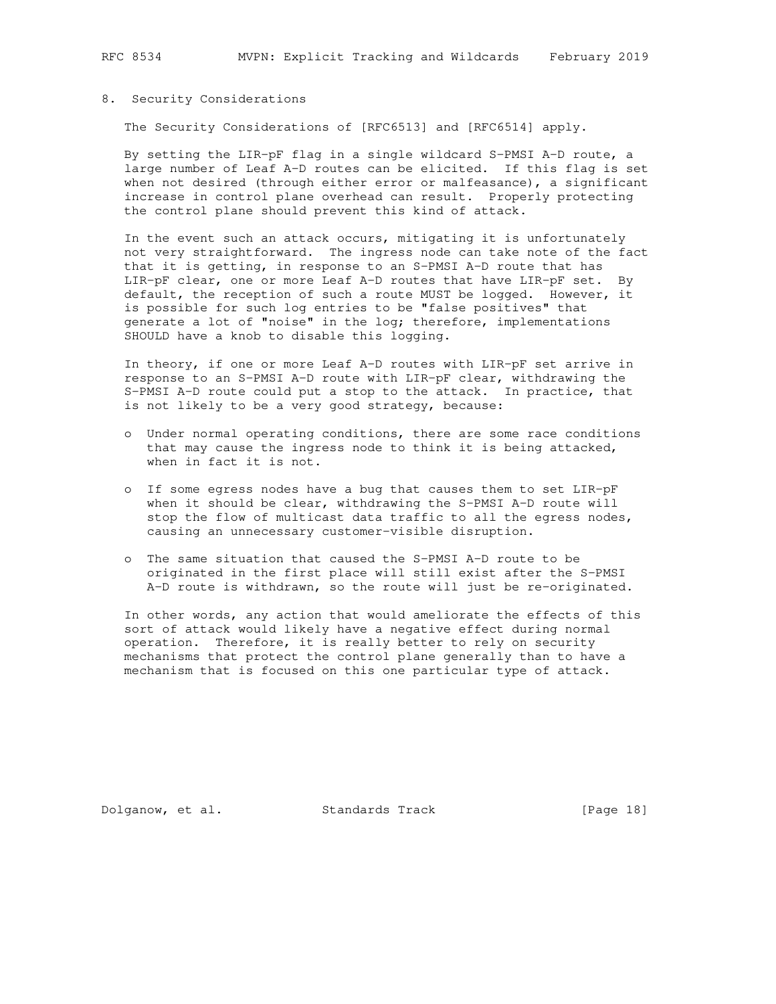## 8. Security Considerations

The Security Considerations of [RFC6513] and [RFC6514] apply.

 By setting the LIR-pF flag in a single wildcard S-PMSI A-D route, a large number of Leaf A-D routes can be elicited. If this flag is set when not desired (through either error or malfeasance), a significant increase in control plane overhead can result. Properly protecting the control plane should prevent this kind of attack.

 In the event such an attack occurs, mitigating it is unfortunately not very straightforward. The ingress node can take note of the fact that it is getting, in response to an S-PMSI A-D route that has LIR-pF clear, one or more Leaf A-D routes that have LIR-pF set. By default, the reception of such a route MUST be logged. However, it is possible for such log entries to be "false positives" that generate a lot of "noise" in the log; therefore, implementations SHOULD have a knob to disable this logging.

 In theory, if one or more Leaf A-D routes with LIR-pF set arrive in response to an S-PMSI A-D route with LIR-pF clear, withdrawing the S-PMSI A-D route could put a stop to the attack. In practice, that is not likely to be a very good strategy, because:

- o Under normal operating conditions, there are some race conditions that may cause the ingress node to think it is being attacked, when in fact it is not.
- o If some egress nodes have a bug that causes them to set LIR-pF when it should be clear, withdrawing the S-PMSI A-D route will stop the flow of multicast data traffic to all the egress nodes, causing an unnecessary customer-visible disruption.
- o The same situation that caused the S-PMSI A-D route to be originated in the first place will still exist after the S-PMSI A-D route is withdrawn, so the route will just be re-originated.

 In other words, any action that would ameliorate the effects of this sort of attack would likely have a negative effect during normal operation. Therefore, it is really better to rely on security mechanisms that protect the control plane generally than to have a mechanism that is focused on this one particular type of attack.

Dolganow, et al. Standards Track [Page 18]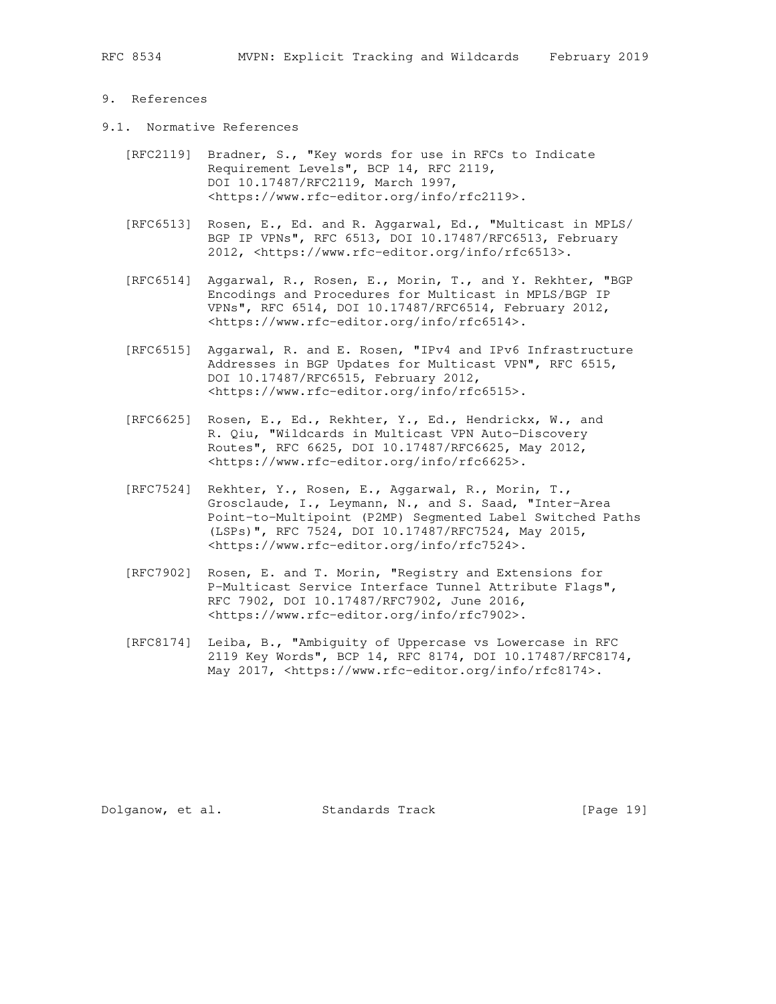### 9. References

- 9.1. Normative References
	- [RFC2119] Bradner, S., "Key words for use in RFCs to Indicate Requirement Levels", BCP 14, RFC 2119, DOI 10.17487/RFC2119, March 1997, <https://www.rfc-editor.org/info/rfc2119>.
	- [RFC6513] Rosen, E., Ed. and R. Aggarwal, Ed., "Multicast in MPLS/ BGP IP VPNs", RFC 6513, DOI 10.17487/RFC6513, February 2012, <https://www.rfc-editor.org/info/rfc6513>.
	- [RFC6514] Aggarwal, R., Rosen, E., Morin, T., and Y. Rekhter, "BGP Encodings and Procedures for Multicast in MPLS/BGP IP VPNs", RFC 6514, DOI 10.17487/RFC6514, February 2012, <https://www.rfc-editor.org/info/rfc6514>.
	- [RFC6515] Aggarwal, R. and E. Rosen, "IPv4 and IPv6 Infrastructure Addresses in BGP Updates for Multicast VPN", RFC 6515, DOI 10.17487/RFC6515, February 2012, <https://www.rfc-editor.org/info/rfc6515>.
	- [RFC6625] Rosen, E., Ed., Rekhter, Y., Ed., Hendrickx, W., and R. Qiu, "Wildcards in Multicast VPN Auto-Discovery Routes", RFC 6625, DOI 10.17487/RFC6625, May 2012, <https://www.rfc-editor.org/info/rfc6625>.
	- [RFC7524] Rekhter, Y., Rosen, E., Aggarwal, R., Morin, T., Grosclaude, I., Leymann, N., and S. Saad, "Inter-Area Point-to-Multipoint (P2MP) Segmented Label Switched Paths (LSPs)", RFC 7524, DOI 10.17487/RFC7524, May 2015, <https://www.rfc-editor.org/info/rfc7524>.
	- [RFC7902] Rosen, E. and T. Morin, "Registry and Extensions for P-Multicast Service Interface Tunnel Attribute Flags", RFC 7902, DOI 10.17487/RFC7902, June 2016, <https://www.rfc-editor.org/info/rfc7902>.
	- [RFC8174] Leiba, B., "Ambiguity of Uppercase vs Lowercase in RFC 2119 Key Words", BCP 14, RFC 8174, DOI 10.17487/RFC8174, May 2017, <https://www.rfc-editor.org/info/rfc8174>.

Dolganow, et al. Standards Track [Page 19]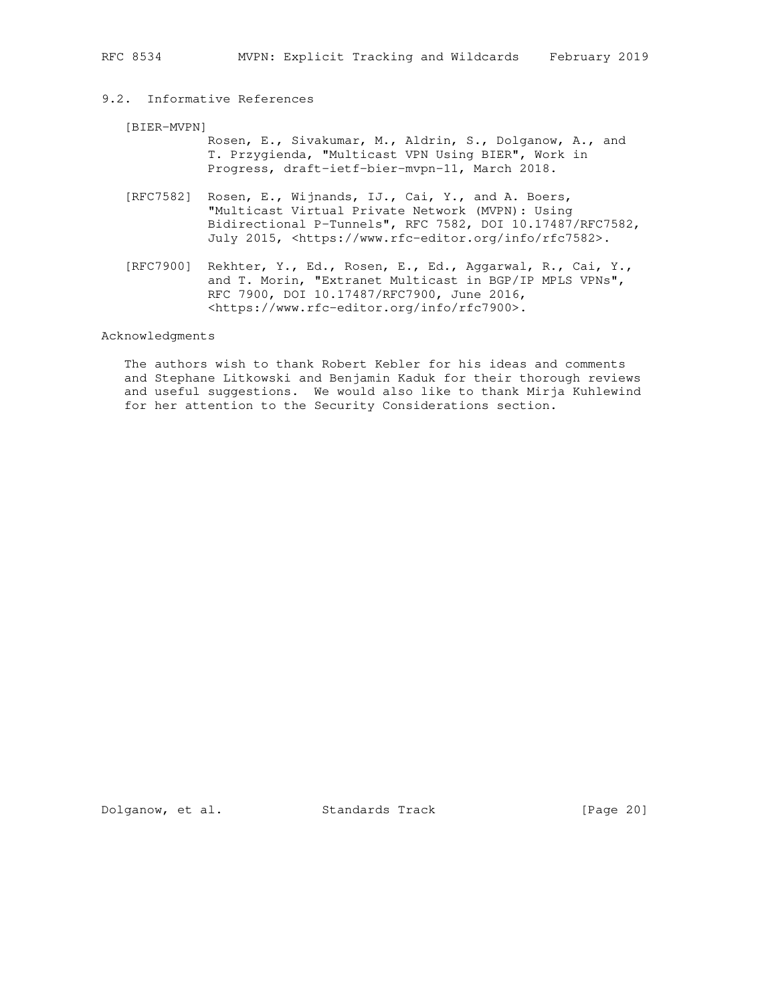# 9.2. Informative References

#### [BIER-MVPN]

 Rosen, E., Sivakumar, M., Aldrin, S., Dolganow, A., and T. Przygienda, "Multicast VPN Using BIER", Work in Progress, draft-ietf-bier-mvpn-11, March 2018.

- [RFC7582] Rosen, E., Wijnands, IJ., Cai, Y., and A. Boers, "Multicast Virtual Private Network (MVPN): Using Bidirectional P-Tunnels", RFC 7582, DOI 10.17487/RFC7582, July 2015, <https://www.rfc-editor.org/info/rfc7582>.
- [RFC7900] Rekhter, Y., Ed., Rosen, E., Ed., Aggarwal, R., Cai, Y., and T. Morin, "Extranet Multicast in BGP/IP MPLS VPNs", RFC 7900, DOI 10.17487/RFC7900, June 2016, <https://www.rfc-editor.org/info/rfc7900>.

#### Acknowledgments

 The authors wish to thank Robert Kebler for his ideas and comments and Stephane Litkowski and Benjamin Kaduk for their thorough reviews and useful suggestions. We would also like to thank Mirja Kuhlewind for her attention to the Security Considerations section.